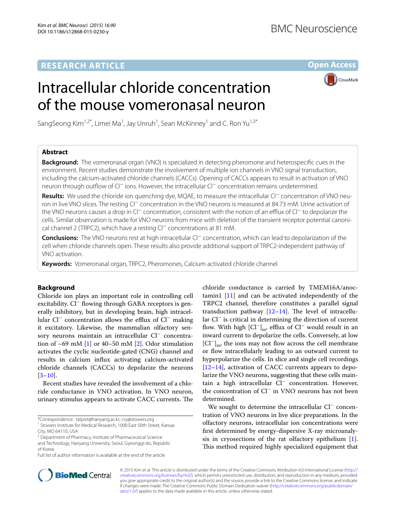# **RESEARCH ARTICLE**

**Open Access**

**CrossMark** 

# Intracellular chloride concentration of the mouse vomeronasal neuron

SangSeong Kim<sup>1,2\*</sup>, Limei Ma<sup>1</sup>, Jay Unruh<sup>1</sup>, Sean McKinney<sup>1</sup> and C. Ron Yu<sup>1,3\*</sup>



**Background:** The vomeronasal organ (VNO) is specialized in detecting pheromone and heterospecific cues in the environment. Recent studies demonstrate the involvement of multiple ion channels in VNO signal transduction, including the calcium-activated chloride channels (CACCs). Opening of CACCs appears to result in activation of VNO neuron through outflow of Cl<sup>−</sup> ions. However, the intracellular Cl<sup>−</sup> concentration remains undetermined.

**Results:** We used the chloride ion quenching dye, MQAE, to measure the intracellular Cl− concentration of VNO neuron in live VNO slices. The resting Cl<sup>−</sup> concentration in the VNO neurons is measured at 84.73 mM. Urine activation of the VNO neurons causes a drop in Cl− concentration, consistent with the notion of an efflux of Cl− to depolarize the cells. Similar observation is made for VNO neurons from mice with deletion of the transient receptor potential canonical channel 2 (TRPC2), which have a resting Cl− concentrations at 81 mM.

**Conclusions:** The VNO neurons rest at high intracellular Cl− concentration, which can lead to depolarization of the cell when chloride channels open. These results also provide additional support of TRPC2-independent pathway of VNO activation.

**Keywords:** Vomeronasal organ, TRPC2, Pheromones, Calcium activated chloride channel

# **Background**

Chloride ion plays an important role in controlling cell excitability. Cl<sup>−</sup> flowing through GABA receptors is generally inhibitory, but in developing brain, high intracellular Cl− concentration allows the efflux of Cl− making it excitatory. Likewise, the mammalian olfactory sensory neurons maintain an intracellular Cl− concentration of  $\sim 69$  mM [\[1\]](#page-5-0) or 40–50 mM [\[2](#page-5-1)]. Odor stimulation activates the cyclic nucleotide-gated (CNG) channel and results in calcium influx activating calcium-activated chloride channels (CACCs) to depolarize the neurons  $[3-10]$  $[3-10]$ .

Recent studies have revealed the involvement of a chloride conductance in VNO activation. In VNO neuron, urinary stimulus appears to activate CACC currents. The

chloride conductance is carried by TMEM16A/anoctamin1  $[11]$  and can be activated independently of the TRPC2 channel, therefore constitutes a parallel signal transduction pathway [[12–](#page-5-5)[14\]](#page-5-6). The level of intracellular Cl− is critical in determining the direction of current flow. With high  $\left[\mathrm{Cl}^-\right]_{\text{in}}$ , efflux of  $\mathrm{Cl}^-$  would result in an inward current to depolarize the cells. Conversely, at low [Cl<sup>−</sup>]<sub>in</sub>, the ions may not flow across the cell membrane or flow intracellularly leading to an outward current to hyperpolarize the cells. In slice and single cell recordings [[12–](#page-5-5)[14\]](#page-5-6), activation of CACC currents appears to depolarize the VNO neurons, suggesting that these cells maintain a high intracellular Cl<sup>−</sup> concentration. However, the concentration of Cl<sup>−</sup> in VNO neurons has not been determined.

We sought to determine the intracellular Cl− concentration of VNO neurons in live slice preparations. In the olfactory neurons, intracellular ion concentrations were first determined by energy-dispersive X-ray microanalysis in cryosections of the rat olfactory epithelium  $[1]$  $[1]$ . This method required highly specialized equipment that



© 2015 Kim et al. This article is distributed under the terms of the Creative Commons Attribution 4.0 International License [\(http://](http://creativecommons.org/licenses/by/4.0/) [creativecommons.org/licenses/by/4.0/](http://creativecommons.org/licenses/by/4.0/)), which permits unrestricted use, distribution, and reproduction in any medium, provided you give appropriate credit to the original author(s) and the source, provide a link to the Creative Commons license, and indicate if changes were made. The Creative Commons Public Domain Dedication waiver ([http://creativecommons.org/publicdomain/](http://creativecommons.org/publicdomain/zero/1.0/) [zero/1.0/](http://creativecommons.org/publicdomain/zero/1.0/)) applies to the data made available in this article, unless otherwise stated.

<sup>\*</sup>Correspondence: talpiot@hanyang.ac.kr; cry@stowers.org

<sup>&</sup>lt;sup>1</sup> Stowers Institute for Medical Research, 1000 East 50th Street, Kansas City, MO 64110, USA

<sup>&</sup>lt;sup>2</sup> Department of Pharmacy, Institute of Pharmaceutical Science and Technology, Hanyang University, Seoul, Gyeonggi-do, Republic of Korea

Full list of author information is available at the end of the article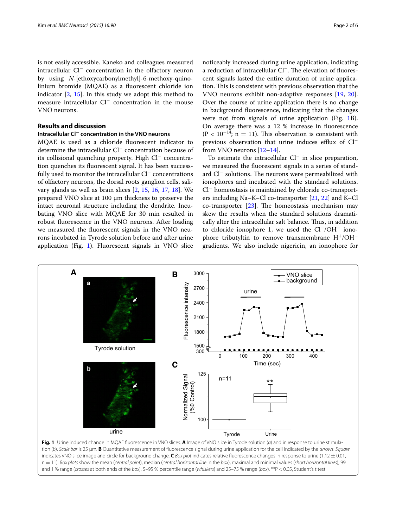is not easily accessible. Kaneko and colleagues measured intracellular Cl<sup>−</sup> concentration in the olfactory neuron by using *N*-[ethoxycarbonylmethyl]-6-methoxy-quinolinium bromide (MQAE) as a fluorescent chloride ion indicator  $[2, 15]$  $[2, 15]$  $[2, 15]$ . In this study we adopt this method to measure intracellular Cl<sup>−</sup> concentration in the mouse VNO neurons.

# **Results and discussion**

# **Intracellular Cl− concentration in the VNO neurons**

MQAE is used as a chloride fluorescent indicator to determine the intracellular Cl<sup>−</sup> concentration because of its collisional quenching property. High Cl− concentration quenches its fluorescent signal. It has been successfully used to monitor the intracellular Cl<sup>−</sup> concentrations of olfactory neurons, the dorsal roots ganglion cells, salivary glands as well as brain slices [\[2](#page-5-1), [15,](#page-5-7) [16,](#page-5-8) [17](#page-5-9), [18](#page-5-10)]. We prepared VNO slice at 100 μm thickness to preserve the intact neuronal structure including the dendrite. Incubating VNO slice with MQAE for 30 min resulted in robust fluorescence in the VNO neurons. After loading we measured the fluorescent signals in the VNO neurons incubated in Tyrode solution before and after urine application (Fig. [1\)](#page-1-0). Fluorescent signals in VNO slice

noticeably increased during urine application, indicating a reduction of intracellular Cl−. The elevation of fluorescent signals lasted the entire duration of urine application. This is consistent with previous observation that the VNO neurons exhibit non-adaptive responses [\[19,](#page-5-11) [20](#page-5-12)]. Over the course of urine application there is no change in background fluorescence, indicating that the changes were not from signals of urine application (Fig. [1](#page-1-0)B). On average there was a 12 % increase in fluorescence  $(P < 10^{-14})$ ; n = 11). This observation is consistent with previous observation that urine induces efflux of Cl<sup>−</sup> from VNO neurons [[12](#page-5-5)[–14](#page-5-6)].

To estimate the intracellular Cl<sup>−</sup> in slice preparation, we measured the fluorescent signals in a series of standard Cl<sup>−</sup> solutions. The neurons were permeabilized with ionophores and incubated with the standard solutions. Cl− homeostasis is maintained by chloride co-transporters including Na–K–Cl co-transporter [[21](#page-5-13), [22](#page-5-14)] and K–Cl co-transporter  $[23]$  $[23]$ . The homeostasis mechanism may skew the results when the standard solutions dramatically alter the intracellular salt balance. Thus, in addition to chloride ionophore 1, we used the Cl−/OH− ionophore tributyltin to remove transmembrane H<sup>+</sup>/OH<sup>−</sup> gradients. We also include nigericin, an ionophore for



<span id="page-1-0"></span>**Fig. 1** Urine induced change in MQAE fluorescence in VNO slices. **A** Image of VNO slice in Tyrode solution (*a*) and in response to urine stimulation (*b*). *Scale bar* is 25 μm. **B** Quantitative measurement of fluorescence signal during urine application for the cell indicated by the *arrows*. *Square* indicates VNO slice image and circle for background change. **C** *Box plot* indicates relative fluorescence changes in response to urine (1.12 ± 0.01, n = 11). *Box plots* show the mean (*central point*), median (*central horizontal line* in the *box*), maximal and minimal values (*short horizontal lines*), 99 and 1 % range (*crosses* at both ends of the *box*), 5–95 % percentile range (*whiskers*) and 25–75 % range (*box*). \*\*P < 0.05, Student's t test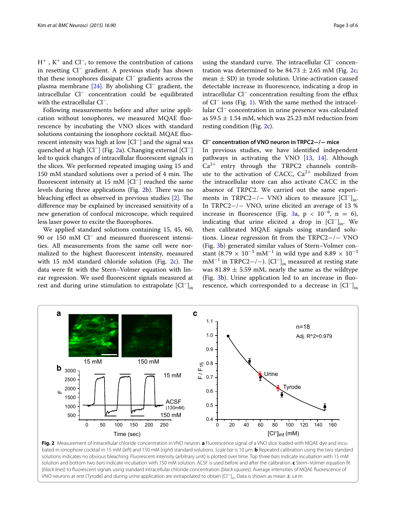H<sup>+</sup> , K<sup>+</sup> and Cl<sup>−</sup>, to remove the contribution of cations in resetting Cl<sup>−</sup> gradient. A previous study has shown that these ionophores dissipate Cl<sup>−</sup> gradients across the plasma membrane [\[24](#page-5-16)]. By abolishing Cl<sup>−</sup> gradient, the intracellular Cl<sup>−</sup> concentration could be equilibrated with the extracellular Cl<sup>−</sup>.

Following measurements before and after urine application without ionophores, we measured MQAE fluorescence by incubating the VNO slices with standard solutions containing the ionophore cocktail. MQAE fluorescent intensity was high at low [Cl<sup>−</sup>] and the signal was quenched at high [Cl<sup>−</sup>] (Fig. [2](#page-2-0)a). Changing external [Cl<sup>−</sup>] led to quick changes of intracellular fluorescent signals in the slices. We performed repeated imaging using 15 and 150 mM standard solutions over a period of 4 min. The fluorescent intensity at 15 mM [Cl<sup>−</sup>] reached the same levels during three applications (Fig. [2b](#page-2-0)). There was no bleaching effect as observed in previous studies [[2](#page-5-1)]. The difference may be explained by increased sensitivity of a new generation of confocal microscope, which required less laser power to excite the fluorophores.

We applied standard solutions containing 15, 45, 60, 90 or 150 mM Cl<sup>−</sup> and measured fluorescent intensities. All measurements from the same cell were normalized to the highest fluorescent intensity, measured with 15 mM standard chloride solution (Fig. [2c](#page-2-0)). The data were fit with the Stern–Volmer equation with linear regression. We used fluorescent signals measured at rest and during urine stimulation to extrapolate  $\left[\mathrm{Cl}^{-}\right]_{\text{in}}$ 

using the standard curve. The intracellular Cl− concentration was determined to be 84.73  $\pm$  2.65 mM (Fig. [2c](#page-2-0); mean  $\pm$  SD) in tyrode solution. Urine-activation caused detectable increase in fluorescence, indicating a drop in intracellular Cl<sup>−</sup> concentration resulting from the efflux of Cl− ions (Fig. [1](#page-1-0)). With the same method the intracellular Cl<sup>−</sup> concentration in urine presence was calculated as 59.5  $\pm$  1.54 mM, which was 25.23 mM reduction from resting condition (Fig. [2c](#page-2-0)).

# **Cl− concentration of VNO neuron in TRPC2−/− mice**

In previous studies, we have identified independent pathways in activating the VNO [[13,](#page-5-17) [14](#page-5-6)]. Although  $Ca^{2+}$  entry through the TRPC2 channels contribute to the activation of CACC,  $Ca^{2+}$  mobilized from the intracellular store can also activate CACC in the absence of TRPC2. We carried out the same experiments in TRPC2−/− VNO slices to measure  $[Cl^-]_{in}$ . In TRPC2−/− VNO, urine elicited an average of 13 % increase in fluorescence (Fig. [3a](#page-3-0), p <  $10^{-6}$ , n = 6), indicating that urine elicited a drop in  $[Cl^-]_{in}$ . We then calibrated MQAE signals using standard solutions. Linear regression fit from the TRPC2−/− VNO (Fig. [3](#page-3-0)b) generated similar values of Stern–Volmer constant (8.79 × 10<sup>-3</sup> mM<sup>-1</sup> in wild type and 8.89 × 10<sup>-3</sup> mM<sup>-1</sup> in TRPC2−/−). [Cl<sup>-</sup>]<sub>in</sub> measured at resting state was 81.89  $\pm$  5.59 mM, nearly the same as the wildtype (Fig. [3](#page-3-0)b). Urine application led to an increase in fluorescence, which corresponded to a decrease in  $\left[\mathrm{Cl}^-\right]_{\mathrm{in}}$ 



<span id="page-2-0"></span>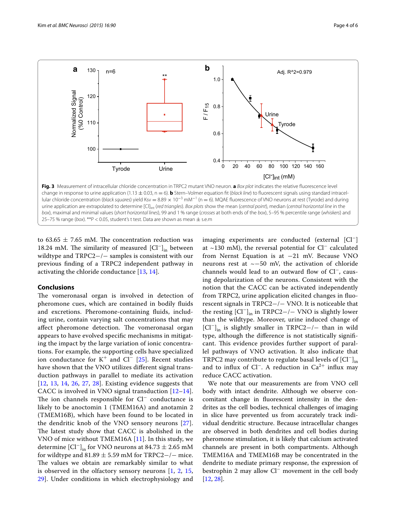

<span id="page-3-0"></span>to 63.65  $\pm$  7.65 mM. The concentration reduction was 18.24 mM. The similarity of measured  $|Cl^-|_{in}$  between wildtype and TRPC2−/− samples is consistent with our previous finding of a TRPC2 independent pathway in activating the chloride conductance [[13,](#page-5-17) [14](#page-5-6)].

## **Conclusions**

The vomeronasal organ is involved in detection of pheromone cues, which are contained in bodily fluids and excretions. Pheromone-containing fluids, including urine, contain varying salt concentrations that may affect pheromone detection. The vomeronasal organ appears to have evolved specific mechanisms in mitigating the impact by the large variation of ionic concentrations. For example, the supporting cells have specialized ion conductance for  $K^+$  and  $Cl^-$  [\[25](#page-5-18)]. Recent studies have shown that the VNO utilizes different signal transduction pathways in parallel to mediate its activation [[12](#page-5-5), [13,](#page-5-17) [14,](#page-5-6) [26,](#page-5-19) [27](#page-5-20), [28](#page-5-21)]. Existing evidence suggests that CACC is involved in VNO signal transduction [[12–](#page-5-5)[14](#page-5-6)]. The ion channels responsible for Cl<sup>−</sup> conductance is likely to be anoctomin 1 (TMEM16A) and anotamin 2 (TMEM16B), which have been found to be located in the dendritic knob of the VNO sensory neurons [[27](#page-5-20)]. The latest study show that CACC is abolished in the VNO of mice without TMEM16A [\[11](#page-5-4)]. In this study, we determine  $\left[\text{Cl}^-\right]_{\text{in}}$  for VNO neurons at 84.73  $\pm$  2.65 mM for wildtype and 81.89  $\pm$  5.59 mM for TRPC2−/− mice. The values we obtain are remarkably similar to what is observed in the olfactory sensory neurons  $[1, 2, 15,$  $[1, 2, 15,$  $[1, 2, 15,$  $[1, 2, 15,$  $[1, 2, 15,$  $[1, 2, 15,$  $[1, 2, 15,$ [29\]](#page-5-22). Under conditions in which electrophysiology and imaging experiments are conducted (external [Cl−] at ~130 mM), the reversal potential for Cl− calculated from Nernst Equation is at −21 mV. Because VNO neurons rest at ~−50 mV, the activation of chloride channels would lead to an outward flow of Cl−, causing depolarization of the neurons. Consistent with the notion that the CACC can be activated independently from TRPC2, urine application elicited changes in fluorescent signals in TRPC2−/− VNO. It is noticeable that the resting  $\left[\text{Cl}^-\right]_{\text{in}}$  in TRPC2−/− VNO is slightly lower than the wildtype. Moreover, urine induced change of  ${[Cl^-]}_{in}$  is slightly smaller in TRPC2−/− than in wild type, although the difference is not statistically significant. This evidence provides further support of parallel pathways of VNO activation. It also indicate that TRPC2 may contribute to regulate basal levels of  $\text{[Cl}^{-}\text{]}_{\text{in}}$ and to influx of Cl<sup>−</sup>. A reduction in Ca<sup>2+</sup> influx may reduce CACC activation.

We note that our measurements are from VNO cell body with intact dendrite. Although we observe concomitant change in fluorescent intensity in the dendrites as the cell bodies, technical challenges of imaging in slice have prevented us from accurately track individual dendritic structure. Because intracellular changes are observed in both dendrites and cell bodies during pheromone stimulation, it is likely that calcium activated channels are present in both compartments. Although TMEM16A and TMEM16B may be concentrated in the dendrite to mediate primary response, the expression of bestrophin 2 may allow Cl<sup>−</sup> movement in the cell body [[12,](#page-5-5) [28](#page-5-21)].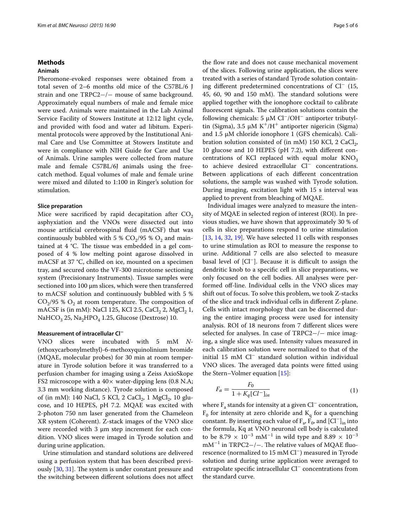#### **Methods**

# **Animals**

Pheromone-evoked responses were obtained from a total seven of 2–6 months old mice of the C57BL/6 J strain and one TRPC2−/− mouse of same background. Approximately equal numbers of male and female mice were used. Animals were maintained in the Lab Animal Service Facility of Stowers Institute at 12:12 light cycle, and provided with food and water ad libitum. Experimental protocols were approved by the Institutional Animal Care and Use Committee at Stowers Institute and were in compliance with NIH Guide for Care and Use of Animals. Urine samples were collected from mature male and female C57BL/6J animals using the freecatch method. Equal volumes of male and female urine were mixed and diluted to 1:100 in Ringer's solution for stimulation.

#### **Slice preparation**

Mice were sacrificed by rapid decapitation after  $CO<sub>2</sub>$ asphyxiation and the VNOs were dissected out into mouse artificial cerebrospinal fluid (mACSF) that was continuously bubbled with 5 %  $CO<sub>2</sub>/95$  %  $O<sub>2</sub>$  and maintained at 4 °C. The tissue was embedded in a gel composed of 4 % low melting point agarose dissolved in mACSF at 37 °C, chilled on ice, mounted on a specimen tray, and secured onto the VF-300 microtome sectioning system (Precisionary Instruments). Tissue samples were sectioned into 100 μm slices, which were then transferred to mACSF solution and continuously bubbled with 5 %  $CO<sub>2</sub>/95$  %  $O<sub>2</sub>$  at room temperature. The composition of mACSF is (in mM): NaCl 125, KCl 2.5, CaCl<sub>2</sub> 2, MgCl<sub>2</sub> 1, NaHCO<sub>3</sub> 25, Na<sub>2</sub>HPO<sub>4</sub> 1.25, Glucose (Dextrose) 10.

## **Measurement of intracellular Cl<sup>−</sup>**

VNO slices were incubated with 5 mM *N*- (ethoxycarbonylmethyl)-6-methoxyquinolinium bromide (MQAE, molecular probes) for 30 min at room temperature in Tyrode solution before it was transferred to a perfusion chamber for imaging using a Zeiss AxioSkope FS2 microscope with a  $40\times$  water-dipping lens (0.8 N.A; 3.3 mm working distance). Tyrode solution is composed of (in mM): 140 NaCl, 5 KCl, 2 CaCl<sub>2</sub>, 1 MgCl<sub>2</sub>, 10 glucose, and 10 HEPES, pH 7.2. MQAE was excited with 2-photon 750 nm laser generated from the Chameleon XR system (Coherent). Z-stack images of the VNO slice were recorded with  $3 \mu m$  step increment for each condition. VNO slices were imaged in Tyrode solution and during urine application.

Urine stimulation and standard solutions are delivered using a perfusion system that has been described previously [[30,](#page-5-23) [31](#page-5-24)]. The system is under constant pressure and the switching between different solutions does not affect

the flow rate and does not cause mechanical movement of the slices. Following urine application, the slices were treated with a series of standard Tyrode solution containing different predetermined concentrations of Cl<sup>−</sup> (15, 45, 60, 90 and 150 mM). The standard solutions were applied together with the ionophore cocktail to calibrate fluorescent signals. The calibration solutions contain the following chemicals: 5 μM Cl−/OH− antiporter tributyltin (Sigma), 3.5 μM  $K^+/H^+$  antiporter nigericin (Sigma) and 1.5 μM chloride ionophore 1 (GFS chemicals). Calibration solution consisted of (in mM) 150 KCl, 2 CaCl $_2$ , 10 glucose and 10 HEPES (pH 7.2), with different concentrations of KCl replaced with equal molar  $KNO<sub>3</sub>$ to achieve desired extracellular Cl<sup>−</sup> concentrations. Between applications of each different concentration solutions, the sample was washed with Tyrode solution. During imaging, excitation light with 15 s interval was applied to prevent from bleaching of MQAE.

Individual images were analyzed to measure the intensity of MQAE in selected region of interest (ROI). In previous studies, we have shown that approximately 30 % of cells in slice preparations respond to urine stimulation [[13,](#page-5-17) [14,](#page-5-6) [32](#page-5-25), [19](#page-5-11)]. We have selected 11 cells with responses to urine stimulation as ROI to measure the response to urine. Additional 7 cells are also selected to measure basal level of [Cl−]. Because it is difficult to assign the dendritic knob to a specific cell in slice preparations, we only focused on the cell bodies. All analyses were performed off-line. Individual cells in the VNO slices may shift out of focus. To solve this problem, we took Z-stacks of the slice and track individual cells in different Z-plane. Cells with intact morphology that can be discerned during the entire imaging process were used for intensity analysis. ROI of 18 neurons from 7 different slices were selected for analyses. In case of TRPC2−/− mice imaging, a single slice was used. Intensity values measured in each calibration solution were normalized to that of the initial 15 mM Cl− standard solution within individual VNO slices. The averaged data points were fitted using the Stern–Volmer equation [[15\]](#page-5-7):

$$
F_a = \frac{F_0}{1 + K_q [Cl^-]_{in}} \tag{1}
$$

where F<sub>a</sub> stands for intensity at a given Cl<sup>−</sup> concentration,  $F_0$  for intensity at zero chloride and  $K_q$  for a quenching constant. By inserting each value of  $F_a$ ,  $\overline{F}_0$ , and  $\overline{[Cl^-]}_{in}$  into the formula, Kq at VNO neuronal cell body is calculated to be 8.79  $\times$  10<sup>-3</sup> mM<sup>-1</sup> in wild type and 8.89  $\times$  10<sup>-3</sup>  $mM^{-1}$  in TRPC2−/−. The relative values of MQAE fluorescence (normalized to 15 mM Cl<sup>−</sup>) measured in Tyrode solution and during urine application were averaged to extrapolate specific intracellular Cl<sup>−</sup> concentrations from the standard curve.